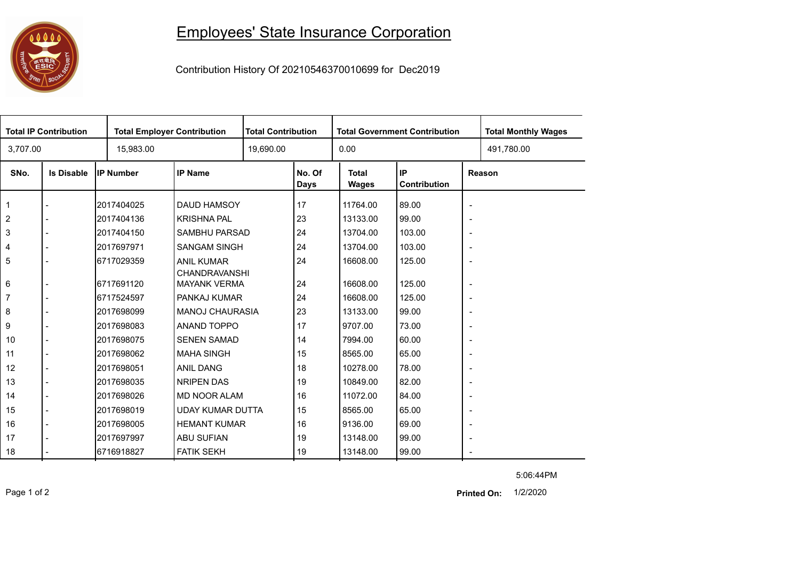## 1000 ESIC S

## Employees' State Insurance Corporation

Contribution History Of 20210546370010699 for Dec2019

|                | <b>Total IP Contribution</b> |                  | <b>Total Employer Contribution</b> |           | <b>Total Contribution</b> |                       | <b>Total Government Contribution</b> | <b>Total Monthly Wages</b> |            |
|----------------|------------------------------|------------------|------------------------------------|-----------|---------------------------|-----------------------|--------------------------------------|----------------------------|------------|
| 3,707.00       |                              | 15,983.00        |                                    | 19,690.00 |                           | 0.00                  |                                      |                            | 491,780.00 |
| SNo.           | <b>Is Disable</b>            | <b>IP Number</b> | <b>IP Name</b>                     |           | No. Of<br><b>Days</b>     | <b>Total</b><br>Wages | IP.<br>Contribution                  | Reason                     |            |
| 1              |                              | 2017404025       | <b>DAUD HAMSOY</b>                 |           | 17                        | 11764.00              | 89.00                                | $\overline{\phantom{a}}$   |            |
| $\overline{2}$ |                              | 2017404136       | <b>KRISHNA PAL</b>                 |           | 23                        | 13133.00              | 99.00                                | $\overline{\phantom{a}}$   |            |
| 3              |                              | 2017404150       | SAMBHU PARSAD                      |           | 24                        | 13704.00              | 103.00                               | $\overline{\phantom{a}}$   |            |
| 4              |                              | 2017697971       | <b>SANGAM SINGH</b>                |           | 24                        | 13704.00              | 103.00                               | $\overline{\phantom{a}}$   |            |
| 5              |                              | 6717029359       | <b>ANIL KUMAR</b><br>CHANDRAVANSHI |           | 24                        | 16608.00              | 125.00                               | $\overline{\phantom{a}}$   |            |
| 6              |                              | 6717691120       | <b>MAYANK VERMA</b>                |           | 24                        | 16608.00              | 125.00                               | $\overline{\phantom{a}}$   |            |
| 7              |                              | 6717524597       | PANKAJ KUMAR                       |           | 24                        | 16608.00              | 125.00                               | $\overline{\phantom{a}}$   |            |
| 8              |                              | 2017698099       | <b>MANOJ CHAURASIA</b>             |           | 23                        | 13133.00              | 99.00                                | $\overline{\phantom{a}}$   |            |
| 9              |                              | 2017698083       | ANAND TOPPO                        |           | 17                        | 9707.00               | 73.00                                | $\overline{\phantom{a}}$   |            |
| 10             |                              | 2017698075       | <b>SENEN SAMAD</b>                 |           | 14                        | 7994.00               | 60.00                                | $\overline{\phantom{a}}$   |            |
| 11             |                              | 2017698062       | <b>MAHA SINGH</b>                  |           | 15                        | 8565.00               | 65.00                                | $\overline{\phantom{a}}$   |            |
| 12             |                              | 2017698051       | <b>ANIL DANG</b>                   |           | 18                        | 10278.00              | 78.00                                | $\overline{\phantom{a}}$   |            |
| 13             |                              | 2017698035       | <b>NRIPEN DAS</b>                  |           | 19                        | 10849.00              | 82.00                                | $\overline{\phantom{a}}$   |            |
| 14             |                              | 2017698026       | <b>MD NOOR ALAM</b>                |           | 16                        | 11072.00              | 84.00                                | $\overline{\phantom{a}}$   |            |
| 15             |                              | 2017698019       | <b>UDAY KUMAR DUTTA</b>            |           | 15                        | 8565.00               | 65.00                                | $\overline{\phantom{a}}$   |            |
| 16             |                              | 2017698005       | <b>HEMANT KUMAR</b>                |           | 16                        | 9136.00               | 69.00                                | $\overline{\phantom{a}}$   |            |
| 17             |                              | 2017697997       | <b>ABU SUFIAN</b>                  |           | 19                        | 13148.00              | 99.00                                | $\overline{\phantom{a}}$   |            |
| 18             |                              | 16716918827      | <b>FATIK SEKH</b>                  |           | 19                        | 13148.00              | 99.00                                | $\sim$                     |            |

5:06:44PM